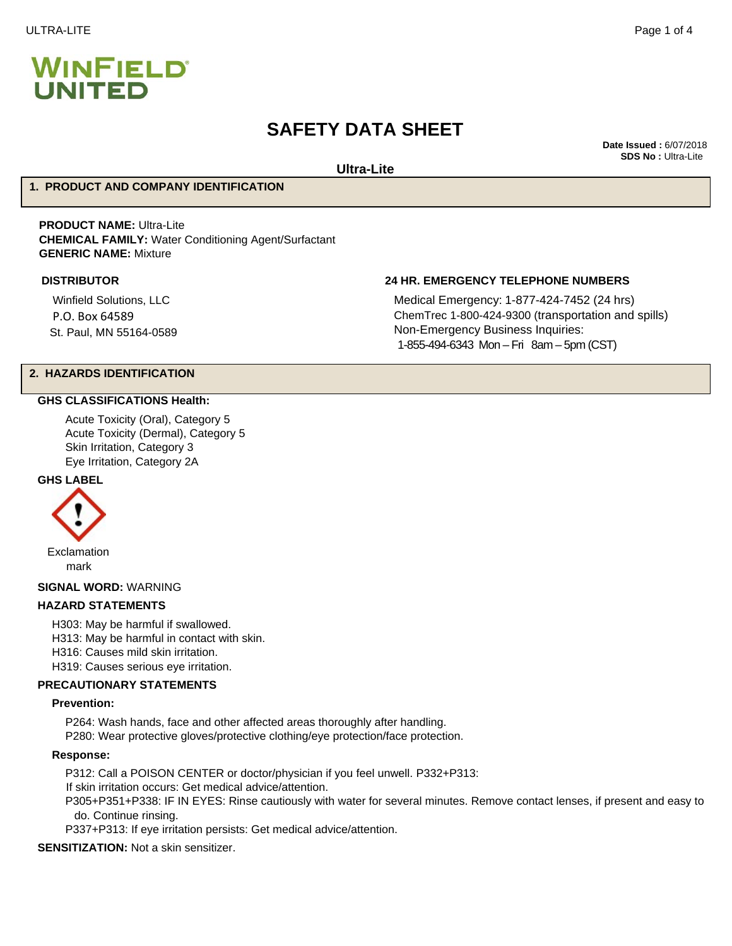# **SAFETY DATA SHEET**

**Date Issued :** 6/07/2018 **SDS No :** Ultra-Lite

**Ultra-Lite**

#### **1. PRODUCT AND COMPANY IDENTIFICATION**

**PRODUCT NAME:** Ultra-Lite **CHEMICAL FAMILY:** Water Conditioning Agent/Surfactant **GENERIC NAME:** Mixture

Winfield Solutions, LLC P.O. Box 64589 St. Paul, MN 55164-0589

#### **DISTRIBUTOR 24 HR. EMERGENCY TELEPHONE NUMBERS**

Medical Emergency: 1-877-424-7452 (24 hrs) ChemTrec 1-800-424-9300 (transportation and spills) Non-Emergency Business Inquiries: 1-855-494-6343 Mon – Fri 8am – 5pm (CST)

# **2. HAZARDS IDENTIFICATION**

#### **GHS CLASSIFICATIONS Health:**

Acute Toxicity (Oral), Category 5 Acute Toxicity (Dermal), Category 5 Skin Irritation, Category 3 Eye Irritation, Category 2A

#### **GHS LABEL**



mark

**SIGNAL WORD:** WARNING

#### **HAZARD STATEMENTS**

H303: May be harmful if swallowed.

H313: May be harmful in contact with skin.

H316: Causes mild skin irritation.

H319: Causes serious eye irritation.

#### **PRECAUTIONARY STATEMENTS**

#### **Prevention:**

P264: Wash hands, face and other affected areas thoroughly after handling. P280: Wear protective gloves/protective clothing/eye protection/face protection.

#### **Response:**

P312: Call a POISON CENTER or doctor/physician if you feel unwell. P332+P313:

If skin irritation occurs: Get medical advice/attention.

P305+P351+P338: IF IN EYES: Rinse cautiously with water for several minutes. Remove contact lenses, if present and easy to do. Continue rinsing.

P337+P313: If eye irritation persists: Get medical advice/attention.

**SENSITIZATION:** Not a skin sensitizer.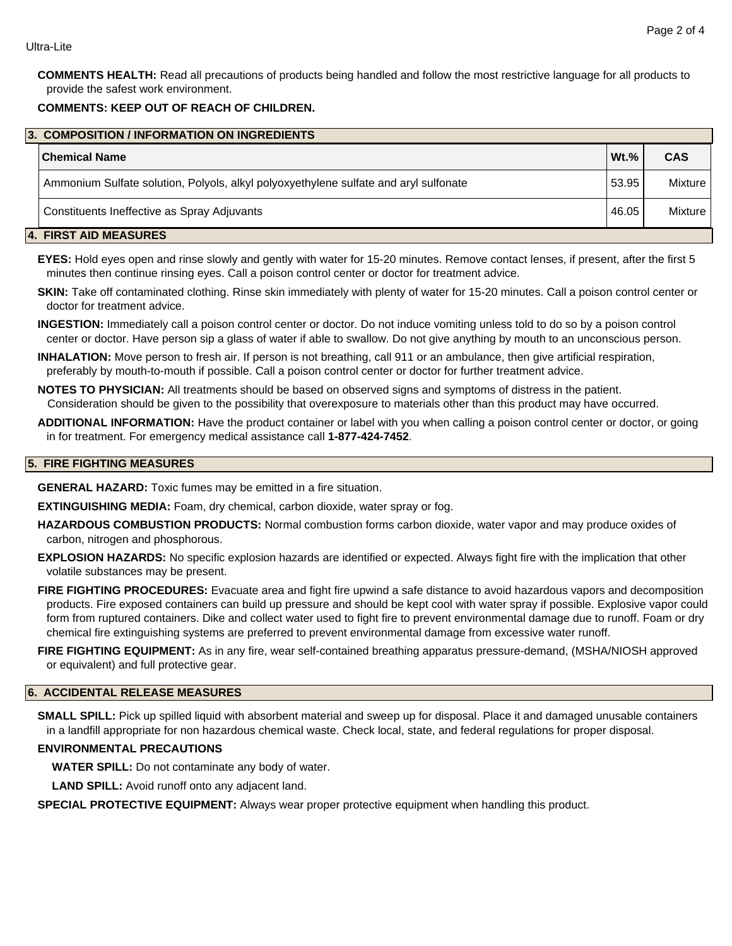**COMMENTS HEALTH:** Read all precautions of products being handled and follow the most restrictive language for all products to provide the safest work environment.

# **COMMENTS: KEEP OUT OF REACH OF CHILDREN.**

| 3. COMPOSITION / INFORMATION ON INGREDIENTS |                                                                                      |         |            |  |
|---------------------------------------------|--------------------------------------------------------------------------------------|---------|------------|--|
|                                             | ∣Chemical Name                                                                       | $Wt.$ % | <b>CAS</b> |  |
|                                             | Ammonium Sulfate solution, Polyols, alkyl polyoxyethylene sulfate and aryl sulfonate | 53.95   | Mixture    |  |
|                                             | Constituents Ineffective as Spray Adjuvants                                          | 46.05   | Mixture    |  |
|                                             | -----------------                                                                    |         |            |  |

#### **4. FIRST AID MEASURES**

**EYES:** Hold eyes open and rinse slowly and gently with water for 15-20 minutes. Remove contact lenses, if present, after the first 5 minutes then continue rinsing eyes. Call a poison control center or doctor for treatment advice.

**SKIN:** Take off contaminated clothing. Rinse skin immediately with plenty of water for 15-20 minutes. Call a poison control center or doctor for treatment advice.

**INGESTION:** Immediately call a poison control center or doctor. Do not induce vomiting unless told to do so by a poison control center or doctor. Have person sip a glass of water if able to swallow. Do not give anything by mouth to an unconscious person.

**INHALATION:** Move person to fresh air. If person is not breathing, call 911 or an ambulance, then give artificial respiration, preferably by mouth-to-mouth if possible. Call a poison control center or doctor for further treatment advice.

**NOTES TO PHYSICIAN:** All treatments should be based on observed signs and symptoms of distress in the patient. Consideration should be given to the possibility that overexposure to materials other than this product may have occurred.

**ADDITIONAL INFORMATION:** Have the product container or label with you when calling a poison control center or doctor, or going in for treatment. For emergency medical assistance call **1-877-424-7452**.

#### **5. FIRE FIGHTING MEASURES**

**GENERAL HAZARD:** Toxic fumes may be emitted in a fire situation.

**EXTINGUISHING MEDIA:** Foam, dry chemical, carbon dioxide, water spray or fog.

**HAZARDOUS COMBUSTION PRODUCTS:** Normal combustion forms carbon dioxide, water vapor and may produce oxides of carbon, nitrogen and phosphorous.

**EXPLOSION HAZARDS:** No specific explosion hazards are identified or expected. Always fight fire with the implication that other volatile substances may be present.

**FIRE FIGHTING PROCEDURES:** Evacuate area and fight fire upwind a safe distance to avoid hazardous vapors and decomposition products. Fire exposed containers can build up pressure and should be kept cool with water spray if possible. Explosive vapor could form from ruptured containers. Dike and collect water used to fight fire to prevent environmental damage due to runoff. Foam or dry chemical fire extinguishing systems are preferred to prevent environmental damage from excessive water runoff.

**FIRE FIGHTING EQUIPMENT:** As in any fire, wear self-contained breathing apparatus pressure-demand, (MSHA/NIOSH approved or equivalent) and full protective gear.

## **6. ACCIDENTAL RELEASE MEASURES**

**SMALL SPILL:** Pick up spilled liquid with absorbent material and sweep up for disposal. Place it and damaged unusable containers in a landfill appropriate for non hazardous chemical waste. Check local, state, and federal regulations for proper disposal.

# **ENVIRONMENTAL PRECAUTIONS**

**WATER SPILL:** Do not contaminate any body of water.

**LAND SPILL:** Avoid runoff onto any adjacent land.

**SPECIAL PROTECTIVE EQUIPMENT:** Always wear proper protective equipment when handling this product.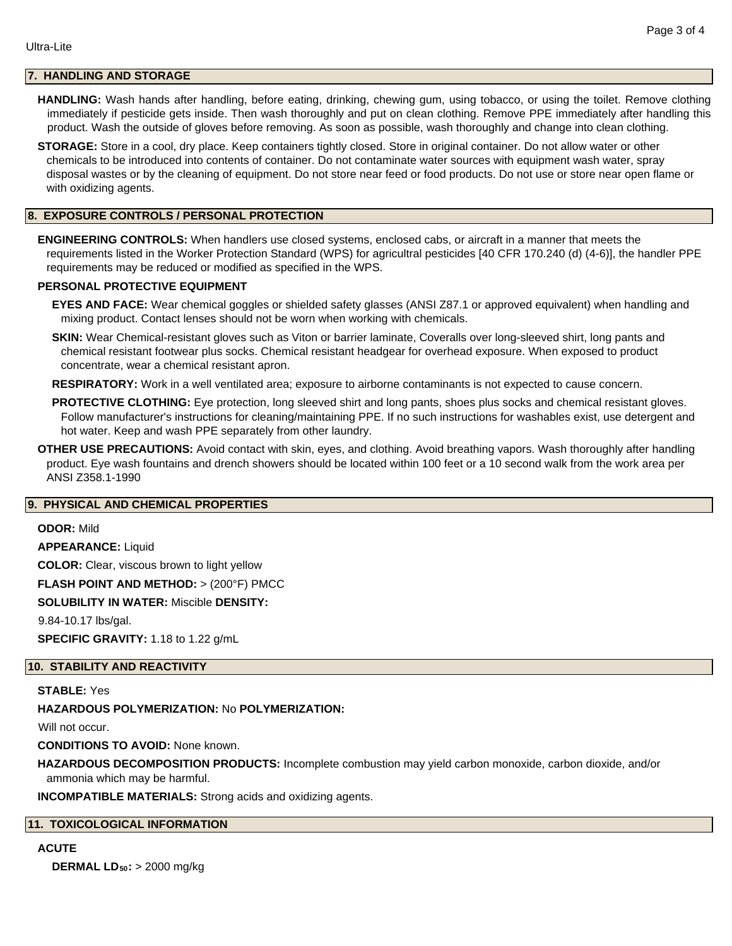# **7. HANDLING AND STORAGE**

**HANDLING:** Wash hands after handling, before eating, drinking, chewing gum, using tobacco, or using the toilet. Remove clothing immediately if pesticide gets inside. Then wash thoroughly and put on clean clothing. Remove PPE immediately after handling this product. Wash the outside of gloves before removing. As soon as possible, wash thoroughly and change into clean clothing.

**STORAGE:** Store in a cool, dry place. Keep containers tightly closed. Store in original container. Do not allow water or other chemicals to be introduced into contents of container. Do not contaminate water sources with equipment wash water, spray disposal wastes or by the cleaning of equipment. Do not store near feed or food products. Do not use or store near open flame or with oxidizing agents.

#### **8. EXPOSURE CONTROLS / PERSONAL PROTECTION**

**ENGINEERING CONTROLS:** When handlers use closed systems, enclosed cabs, or aircraft in a manner that meets the requirements listed in the Worker Protection Standard (WPS) for agricultral pesticides [40 CFR 170.240 (d) (4-6)], the handler PPE requirements may be reduced or modified as specified in the WPS.

#### **PERSONAL PROTECTIVE EQUIPMENT**

**EYES AND FACE:** Wear chemical goggles or shielded safety glasses (ANSI Z87.1 or approved equivalent) when handling and mixing product. Contact lenses should not be worn when working with chemicals.

**SKIN:** Wear Chemical-resistant gloves such as Viton or barrier laminate, Coveralls over long-sleeved shirt, long pants and chemical resistant footwear plus socks. Chemical resistant headgear for overhead exposure. When exposed to product concentrate, wear a chemical resistant apron.

**RESPIRATORY:** Work in a well ventilated area; exposure to airborne contaminants is not expected to cause concern.

**PROTECTIVE CLOTHING:** Eye protection, long sleeved shirt and long pants, shoes plus socks and chemical resistant gloves. Follow manufacturer's instructions for cleaning/maintaining PPE. If no such instructions for washables exist, use detergent and hot water. Keep and wash PPE separately from other laundry.

**OTHER USE PRECAUTIONS:** Avoid contact with skin, eyes, and clothing. Avoid breathing vapors. Wash thoroughly after handling product. Eye wash fountains and drench showers should be located within 100 feet or a 10 second walk from the work area per ANSI Z358.1-1990

#### **9. PHYSICAL AND CHEMICAL PROPERTIES**

#### **ODOR:** Mild

**APPEARANCE:** Liquid

**COLOR:** Clear, viscous brown to light yellow

**FLASH POINT AND METHOD:** > (200°F) PMCC

#### **SOLUBILITY IN WATER:** Miscible **DENSITY:**

9.84-10.17 lbs/gal.

**SPECIFIC GRAVITY:** 1.18 to 1.22 g/mL

#### **10. STABILITY AND REACTIVITY**

**STABLE:** Yes

### **HAZARDOUS POLYMERIZATION:** No **POLYMERIZATION:**

Will not occur.

**CONDITIONS TO AVOID:** None known.

**HAZARDOUS DECOMPOSITION PRODUCTS:** Incomplete combustion may yield carbon monoxide, carbon dioxide, and/or ammonia which may be harmful.

**INCOMPATIBLE MATERIALS:** Strong acids and oxidizing agents.

#### **11. TOXICOLOGICAL INFORMATION**

### **ACUTE**

**DERMAL LD50:** > 2000 mg/kg